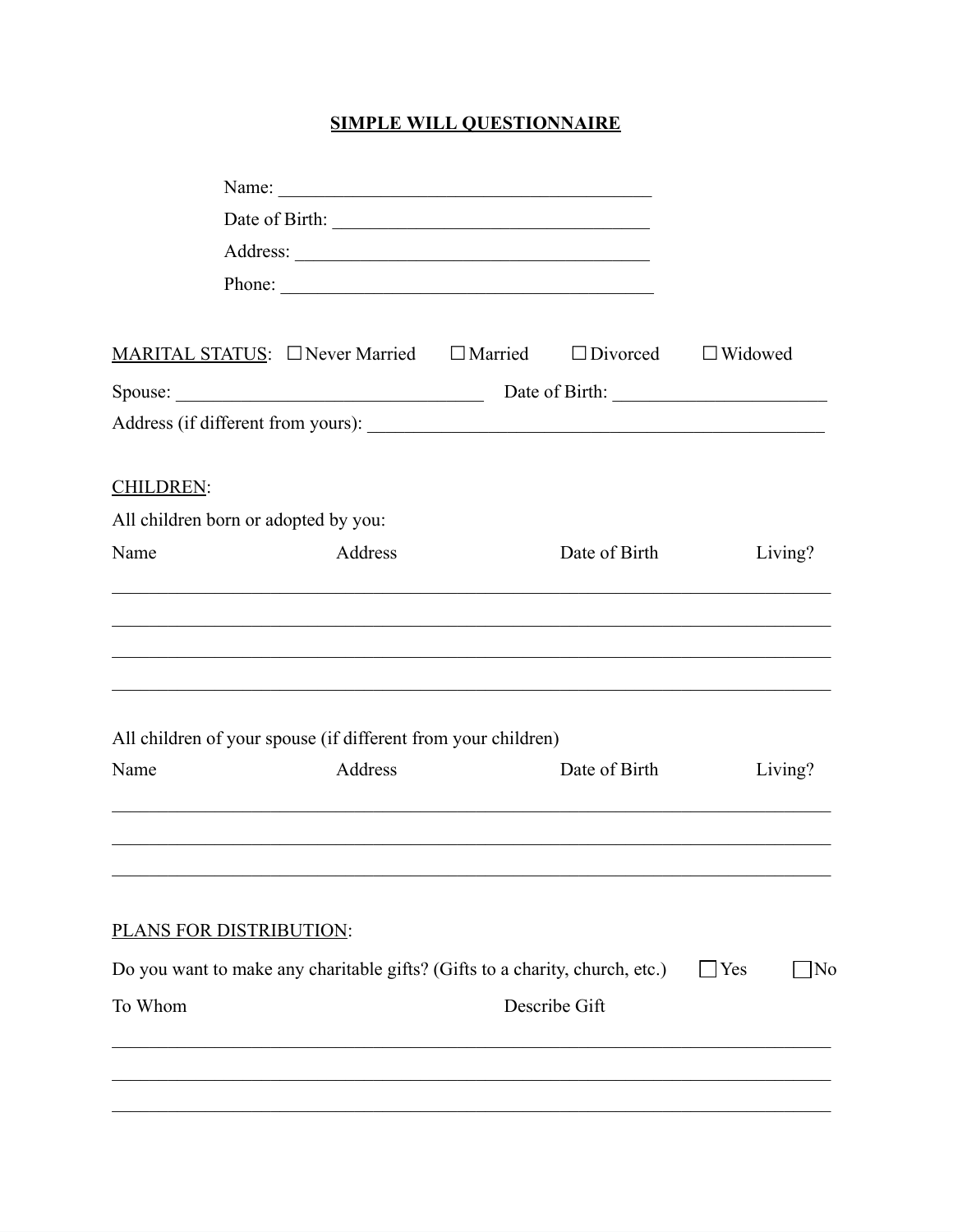## **SIMPLE WILL QUESTIONNAIRE**

| Phone:<br>MARITAL STATUS: $\Box$ Never Married $\Box$ Married<br>$\Box$ Divorced |                                                                              |  |               |            |                |
|----------------------------------------------------------------------------------|------------------------------------------------------------------------------|--|---------------|------------|----------------|
|                                                                                  |                                                                              |  |               |            |                |
|                                                                                  |                                                                              |  |               |            | $\Box$ Widowed |
| Spouse:                                                                          |                                                                              |  |               |            |                |
|                                                                                  |                                                                              |  |               |            |                |
| <b>CHILDREN:</b>                                                                 |                                                                              |  |               |            |                |
| All children born or adopted by you:                                             |                                                                              |  |               |            |                |
| Name                                                                             | Address                                                                      |  | Date of Birth |            | Living?        |
| Name                                                                             | All children of your spouse (if different from your children)<br>Address     |  | Date of Birth |            | Living?        |
|                                                                                  |                                                                              |  |               |            |                |
| PLANS FOR DISTRIBUTION:                                                          |                                                                              |  |               |            |                |
|                                                                                  | Do you want to make any charitable gifts? (Gifts to a charity, church, etc.) |  |               | $\Box$ Yes | ]No            |
| To Whom                                                                          |                                                                              |  | Describe Gift |            |                |
|                                                                                  |                                                                              |  |               |            |                |
|                                                                                  |                                                                              |  |               |            |                |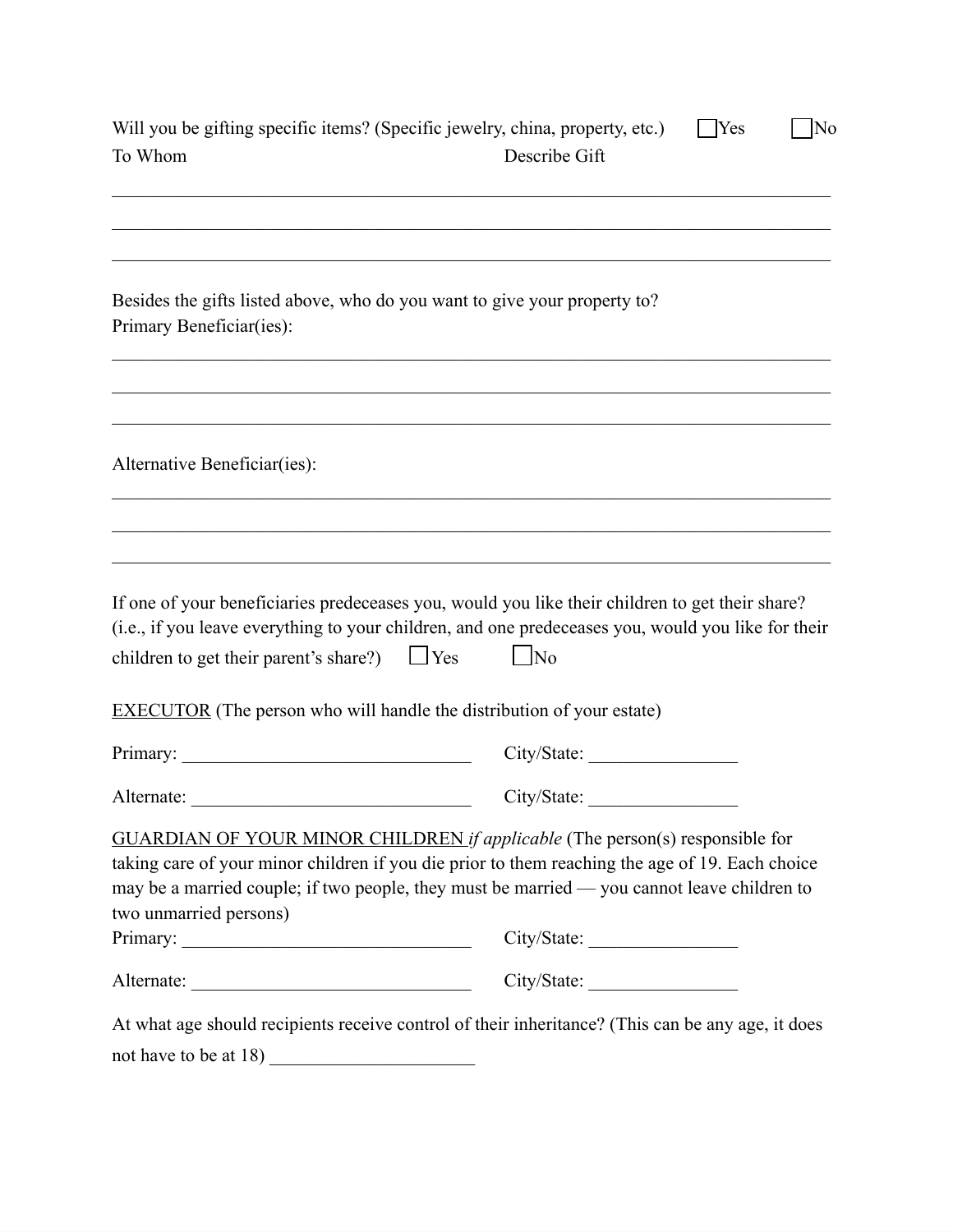| Will you be gifting specific items? (Specific jewelry, china, property, etc.)<br>To Whom                                                                                                                                                                                                                        | Describe Gift     | $\Box$ Yes<br>$\overline{\rm No}$ |
|-----------------------------------------------------------------------------------------------------------------------------------------------------------------------------------------------------------------------------------------------------------------------------------------------------------------|-------------------|-----------------------------------|
| Besides the gifts listed above, who do you want to give your property to?<br>Primary Beneficiar(ies):                                                                                                                                                                                                           |                   |                                   |
| Alternative Beneficiar(ies):                                                                                                                                                                                                                                                                                    |                   |                                   |
|                                                                                                                                                                                                                                                                                                                 |                   |                                   |
| If one of your beneficiaries predeceases you, would you like their children to get their share?<br>(i.e., if you leave everything to your children, and one predeceases you, would you like for their<br>children to get their parent's share?) $\Box$ Yes                                                      | $\blacksquare$ No |                                   |
| <b>EXECUTOR</b> (The person who will handle the distribution of your estate)                                                                                                                                                                                                                                    |                   |                                   |
|                                                                                                                                                                                                                                                                                                                 | City/State:       |                                   |
| Alternate:                                                                                                                                                                                                                                                                                                      | City/State:       |                                   |
| <b>GUARDIAN OF YOUR MINOR CHILDREN</b> if applicable (The person(s) responsible for<br>taking care of your minor children if you die prior to them reaching the age of 19. Each choice<br>may be a married couple; if two people, they must be married — you cannot leave children to<br>two unmarried persons) |                   |                                   |
|                                                                                                                                                                                                                                                                                                                 | City/State:       |                                   |
|                                                                                                                                                                                                                                                                                                                 | City/State:       |                                   |
| At what age should recipients receive control of their inheritance? (This can be any age, it does                                                                                                                                                                                                               |                   |                                   |
| not have to be at 18)                                                                                                                                                                                                                                                                                           |                   |                                   |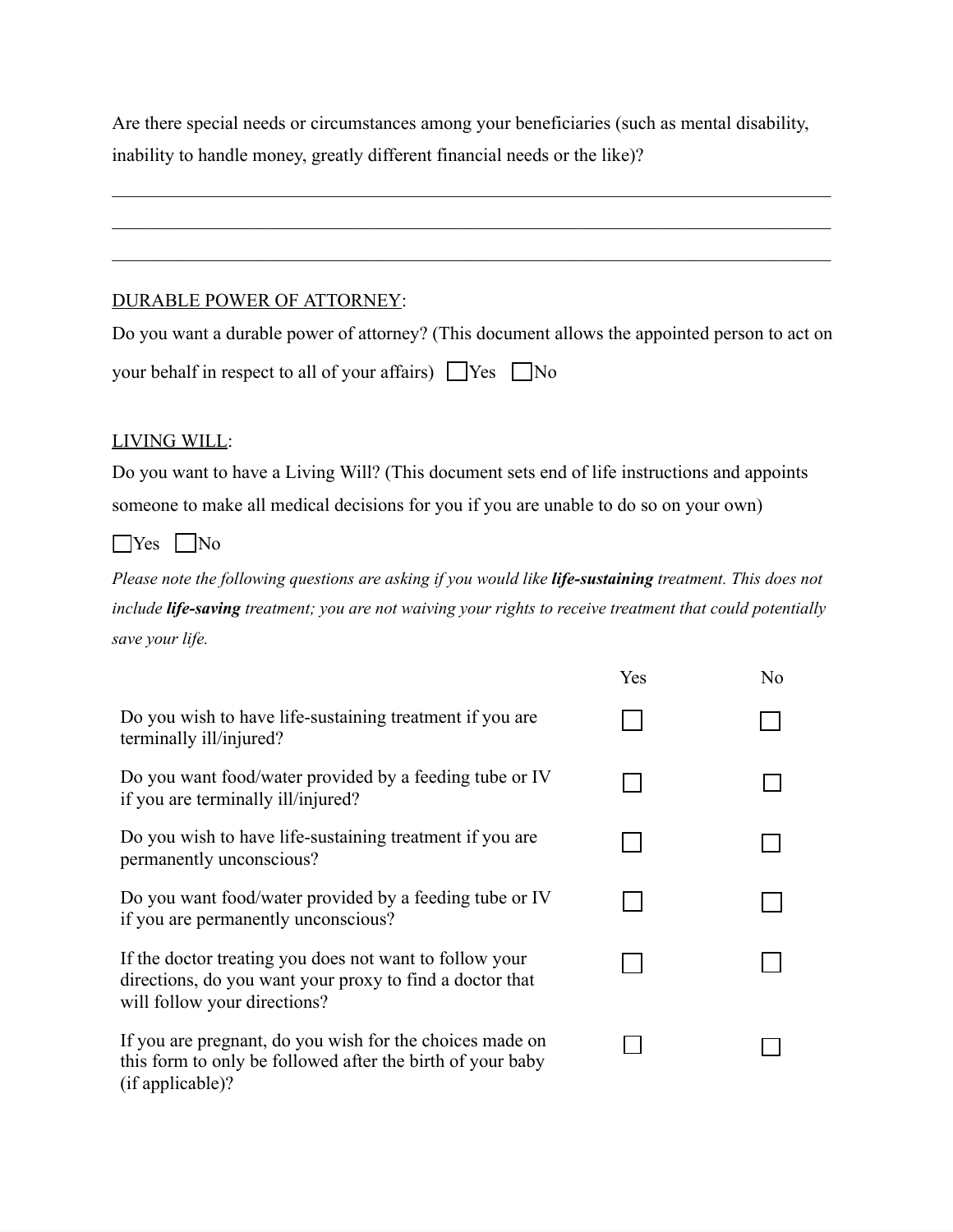Are there special needs or circumstances among your beneficiaries (such as mental disability, inability to handle money, greatly different financial needs or the like)?

 $\mathcal{L}_\mathcal{L} = \mathcal{L}_\mathcal{L} = \mathcal{L}_\mathcal{L} = \mathcal{L}_\mathcal{L} = \mathcal{L}_\mathcal{L} = \mathcal{L}_\mathcal{L} = \mathcal{L}_\mathcal{L} = \mathcal{L}_\mathcal{L} = \mathcal{L}_\mathcal{L} = \mathcal{L}_\mathcal{L} = \mathcal{L}_\mathcal{L} = \mathcal{L}_\mathcal{L} = \mathcal{L}_\mathcal{L} = \mathcal{L}_\mathcal{L} = \mathcal{L}_\mathcal{L} = \mathcal{L}_\mathcal{L} = \mathcal{L}_\mathcal{L}$ 

 $\mathcal{L}_\mathcal{L} = \mathcal{L}_\mathcal{L} = \mathcal{L}_\mathcal{L} = \mathcal{L}_\mathcal{L} = \mathcal{L}_\mathcal{L} = \mathcal{L}_\mathcal{L} = \mathcal{L}_\mathcal{L} = \mathcal{L}_\mathcal{L} = \mathcal{L}_\mathcal{L} = \mathcal{L}_\mathcal{L} = \mathcal{L}_\mathcal{L} = \mathcal{L}_\mathcal{L} = \mathcal{L}_\mathcal{L} = \mathcal{L}_\mathcal{L} = \mathcal{L}_\mathcal{L} = \mathcal{L}_\mathcal{L} = \mathcal{L}_\mathcal{L}$ 

 $\mathcal{L}_\mathcal{L} = \mathcal{L}_\mathcal{L} = \mathcal{L}_\mathcal{L} = \mathcal{L}_\mathcal{L} = \mathcal{L}_\mathcal{L} = \mathcal{L}_\mathcal{L} = \mathcal{L}_\mathcal{L} = \mathcal{L}_\mathcal{L} = \mathcal{L}_\mathcal{L} = \mathcal{L}_\mathcal{L} = \mathcal{L}_\mathcal{L} = \mathcal{L}_\mathcal{L} = \mathcal{L}_\mathcal{L} = \mathcal{L}_\mathcal{L} = \mathcal{L}_\mathcal{L} = \mathcal{L}_\mathcal{L} = \mathcal{L}_\mathcal{L}$ 

## DURABLE POWER OF ATTORNEY:

Do you want a durable power of attorney? (This document allows the appointed person to act on

| your behalf in respect to all of your affairs) Yes No |  |  |  |
|-------------------------------------------------------|--|--|--|
|-------------------------------------------------------|--|--|--|

## LIVING WILL:

Do you want to have a Living Will? (This document sets end of life instructions and appoints someone to make all medical decisions for you if you are unable to do so on your own)

☐Yes ☐No

*Please note the following questions are asking if you would like life-sustaining treatment. This does not include life-saving treatment; you are not waiving your rights to receive treatment that could potentially save your life.*

|                                                                                                                                                     | Yes | N <sub>o</sub> |
|-----------------------------------------------------------------------------------------------------------------------------------------------------|-----|----------------|
| Do you wish to have life-sustaining treatment if you are<br>terminally ill/injured?                                                                 |     |                |
| Do you want food/water provided by a feeding tube or IV<br>if you are terminally ill/injured?                                                       |     |                |
| Do you wish to have life-sustaining treatment if you are<br>permanently unconscious?                                                                |     |                |
| Do you want food/water provided by a feeding tube or IV<br>if you are permanently unconscious?                                                      |     |                |
| If the doctor treating you does not want to follow your<br>directions, do you want your proxy to find a doctor that<br>will follow your directions? |     |                |
| If you are pregnant, do you wish for the choices made on<br>this form to only be followed after the birth of your baby<br>(if applicable)?          |     |                |